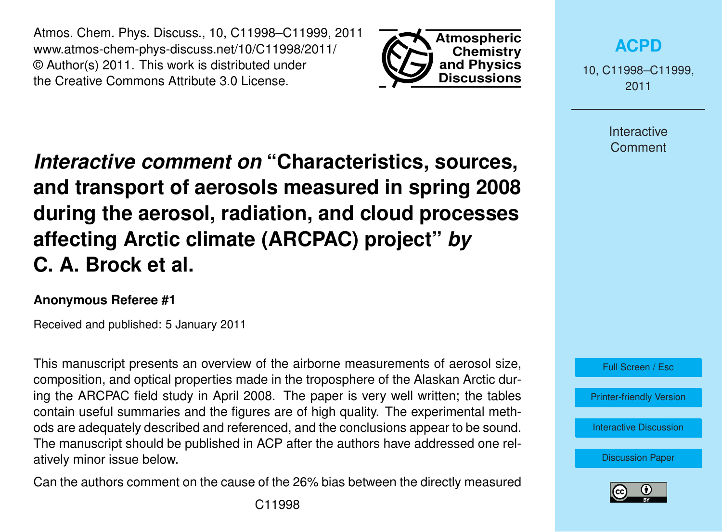Atmos. Chem. Phys. Discuss., 10, C11998–C11999, 2011 www.atmos-chem-phys-discuss.net/10/C11998/2011/ © Author(s) 2011. This work is distributed under the Creative Commons Attribute 3.0 License.



**[ACPD](http://www.atmos-chem-phys-discuss.net)**

10, C11998–C11999, 2011

> **Interactive Comment**

*Interactive comment on* **"Characteristics, sources, and transport of aerosols measured in spring 2008 during the aerosol, radiation, and cloud processes affecting Arctic climate (ARCPAC) project"** *by* **C. A. Brock et al.**

## **Anonymous Referee #1**

Received and published: 5 January 2011

This manuscript presents an overview of the airborne measurements of aerosol size, composition, and optical properties made in the troposphere of the Alaskan Arctic during the ARCPAC field study in April 2008. The paper is very well written; the tables contain useful summaries and the figures are of high quality. The experimental methods are adequately described and referenced, and the conclusions appear to be sound. The manuscript should be published in ACP after the authors have addressed one relatively minor issue below.

Can the authors comment on the cause of the 26% bias between the directly measured C11998



[Printer-friendly Version](http://www.atmos-chem-phys-discuss.net/10/C11998/2011/acpd-10-C11998-2011-print.pdf)

[Interactive Discussion](http://www.atmos-chem-phys-discuss.net/10/27361/2010/acpd-10-27361-2010-discussion.html)

[Discussion Paper](http://www.atmos-chem-phys-discuss.net/10/27361/2010/acpd-10-27361-2010.pdf)